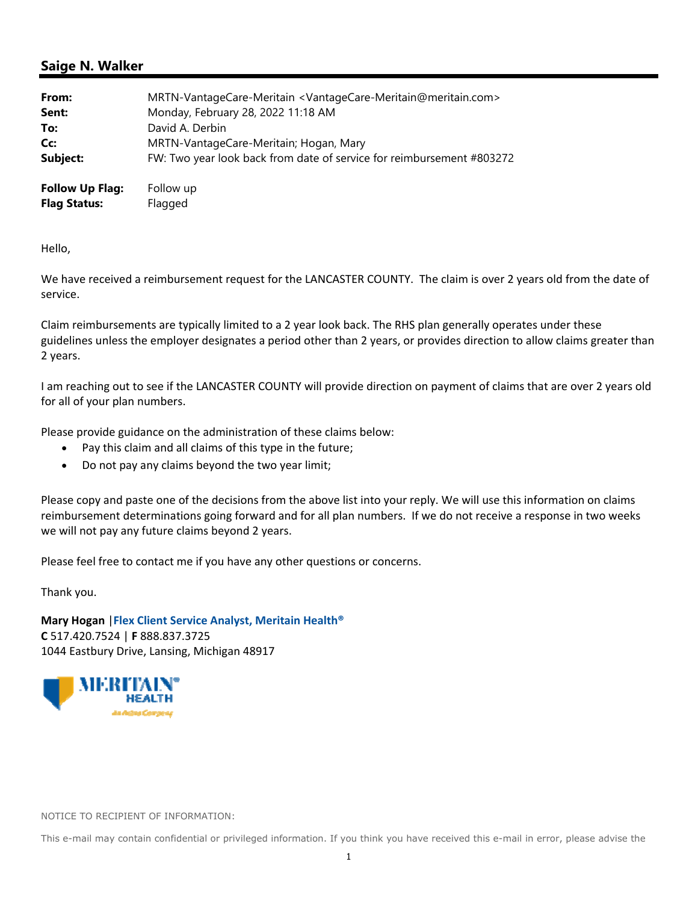## **Saige N. Walker**

| From:<br>Sent:         | MRTN-VantageCare-Meritain <vantagecare-meritain@meritain.com><br/>Monday, February 28, 2022 11:18 AM</vantagecare-meritain@meritain.com> |
|------------------------|------------------------------------------------------------------------------------------------------------------------------------------|
|                        |                                                                                                                                          |
| To:                    | David A. Derbin                                                                                                                          |
| Cc:                    | MRTN-VantageCare-Meritain; Hogan, Mary                                                                                                   |
| Subject:               | FW: Two year look back from date of service for reimbursement #803272                                                                    |
| <b>Follow Up Flag:</b> | Follow up                                                                                                                                |
| <b>Flag Status:</b>    | Flagged                                                                                                                                  |

Hello,

We have received a reimbursement request for the LANCASTER COUNTY. The claim is over 2 years old from the date of service.

Claim reimbursements are typically limited to a 2 year look back. The RHS plan generally operates under these guidelines unless the employer designates a period other than 2 years, or provides direction to allow claims greater than 2 years.

I am reaching out to see if the LANCASTER COUNTY will provide direction on payment of claims that are over 2 years old for all of your plan numbers.

Please provide guidance on the administration of these claims below:

- Pay this claim and all claims of this type in the future;
- Do not pay any claims beyond the two year limit;

Please copy and paste one of the decisions from the above list into your reply. We will use this information on claims reimbursement determinations going forward and for all plan numbers. If we do not receive a response in two weeks we will not pay any future claims beyond 2 years.

Please feel free to contact me if you have any other questions or concerns.

Thank you.

**Mary Hogan** |**Flex Client Service Analyst, Meritain Health® C** 517.420.7524 | **F** 888.837.3725 1044 Eastbury Drive, Lansing, Michigan 48917



NOTICE TO RECIPIENT OF INFORMATION:

This e-mail may contain confidential or privileged information. If you think you have received this e-mail in error, please advise the